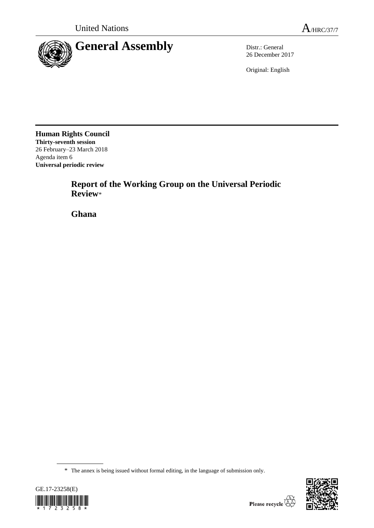

26 December 2017

Original: English

**Human Rights Council Thirty-seventh session** 26 February–23 March 2018 Agenda item 6 **Universal periodic review**

> **Report of the Working Group on the Universal Periodic Review**\*

**Ghana**

<sup>\*</sup> The annex is being issued without formal editing, in the language of submission only.



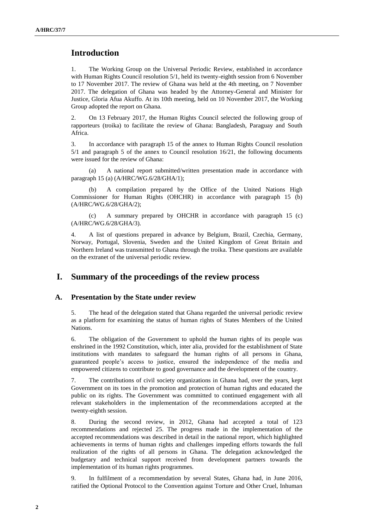# **Introduction**

1. The Working Group on the Universal Periodic Review, established in accordance with Human Rights Council resolution 5/1, held its twenty-eighth session from 6 November to 17 November 2017. The review of Ghana was held at the 4th meeting, on 7 November 2017. The delegation of Ghana was headed by the Attorney-General and Minister for Justice, Gloria Afua Akuffo. At its 10th meeting, held on 10 November 2017, the Working Group adopted the report on Ghana.

2. On 13 February 2017, the Human Rights Council selected the following group of rapporteurs (troika) to facilitate the review of Ghana: Bangladesh, Paraguay and South Africa.

3. In accordance with paragraph 15 of the annex to Human Rights Council resolution 5/1 and paragraph 5 of the annex to Council resolution 16/21, the following documents were issued for the review of Ghana:

(a) A national report submitted/written presentation made in accordance with paragraph 15 (a) (A/HRC/WG.6/28/GHA/1);

(b) A compilation prepared by the Office of the United Nations High Commissioner for Human Rights (OHCHR) in accordance with paragraph 15 (b) (A/HRC/WG.6/28/GHA/2);

(c) A summary prepared by OHCHR in accordance with paragraph 15 (c) (A/HRC/WG.6/28/GHA/3).

4. A list of questions prepared in advance by Belgium, Brazil, Czechia, Germany, Norway, Portugal, Slovenia, Sweden and the United Kingdom of Great Britain and Northern Ireland was transmitted to Ghana through the troika. These questions are available on the extranet of the universal periodic review.

# **I. Summary of the proceedings of the review process**

### **A. Presentation by the State under review**

5. The head of the delegation stated that Ghana regarded the universal periodic review as a platform for examining the status of human rights of States Members of the United Nations.

6. The obligation of the Government to uphold the human rights of its people was enshrined in the 1992 Constitution, which, inter alia, provided for the establishment of State institutions with mandates to safeguard the human rights of all persons in Ghana, guaranteed people's access to justice, ensured the independence of the media and empowered citizens to contribute to good governance and the development of the country.

7. The contributions of civil society organizations in Ghana had, over the years, kept Government on its toes in the promotion and protection of human rights and educated the public on its rights. The Government was committed to continued engagement with all relevant stakeholders in the implementation of the recommendations accepted at the twenty-eighth session.

8. During the second review, in 2012, Ghana had accepted a total of 123 recommendations and rejected 25. The progress made in the implementation of the accepted recommendations was described in detail in the national report, which highlighted achievements in terms of human rights and challenges impeding efforts towards the full realization of the rights of all persons in Ghana. The delegation acknowledged the budgetary and technical support received from development partners towards the implementation of its human rights programmes.

9. In fulfilment of a recommendation by several States, Ghana had, in June 2016, ratified the Optional Protocol to the Convention against Torture and Other Cruel, Inhuman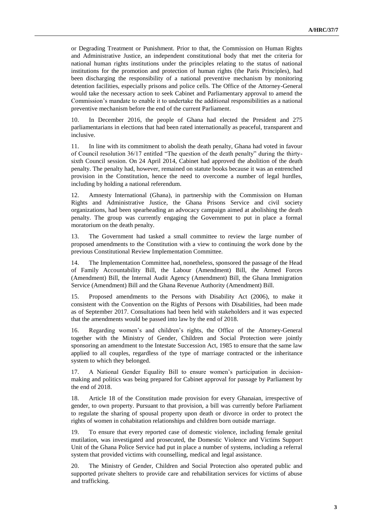or Degrading Treatment or Punishment. Prior to that, the Commission on Human Rights and Administrative Justice, an independent constitutional body that met the criteria for national human rights institutions under the principles relating to the status of national institutions for the promotion and protection of human rights (the Paris Principles), had been discharging the responsibility of a national preventive mechanism by monitoring detention facilities, especially prisons and police cells. The Office of the Attorney-General would take the necessary action to seek Cabinet and Parliamentary approval to amend the Commission's mandate to enable it to undertake the additional responsibilities as a national preventive mechanism before the end of the current Parliament.

In December 2016, the people of Ghana had elected the President and 275 parliamentarians in elections that had been rated internationally as peaceful, transparent and inclusive.

11. In line with its commitment to abolish the death penalty, Ghana had voted in favour of Council resolution 36/17 entitled "The question of the death penalty" during the thirtysixth Council session. On 24 April 2014, Cabinet had approved the abolition of the death penalty. The penalty had, however, remained on statute books because it was an entrenched provision in the Constitution, hence the need to overcome a number of legal hurdles, including by holding a national referendum.

12. Amnesty International (Ghana), in partnership with the Commission on Human Rights and Administrative Justice, the Ghana Prisons Service and civil society organizations, had been spearheading an advocacy campaign aimed at abolishing the death penalty. The group was currently engaging the Government to put in place a formal moratorium on the death penalty.

13. The Government had tasked a small committee to review the large number of proposed amendments to the Constitution with a view to continuing the work done by the previous Constitutional Review Implementation Committee.

14. The Implementation Committee had, nonetheless, sponsored the passage of the Head of Family Accountability Bill, the Labour (Amendment) Bill, the Armed Forces (Amendment) Bill, the Internal Audit Agency (Amendment) Bill, the Ghana Immigration Service (Amendment) Bill and the Ghana Revenue Authority (Amendment) Bill.

15. Proposed amendments to the Persons with Disability Act (2006), to make it consistent with the Convention on the Rights of Persons with Disabilities, had been made as of September 2017. Consultations had been held with stakeholders and it was expected that the amendments would be passed into law by the end of 2018.

16. Regarding women's and children's rights, the Office of the Attorney-General together with the Ministry of Gender, Children and Social Protection were jointly sponsoring an amendment to the Intestate Succession Act, 1985 to ensure that the same law applied to all couples, regardless of the type of marriage contracted or the inheritance system to which they belonged.

17. A National Gender Equality Bill to ensure women's participation in decisionmaking and politics was being prepared for Cabinet approval for passage by Parliament by the end of 2018.

18. Article 18 of the Constitution made provision for every Ghanaian, irrespective of gender, to own property. Pursuant to that provision, a bill was currently before Parliament to regulate the sharing of spousal property upon death or divorce in order to protect the rights of women in cohabitation relationships and children born outside marriage.

19. To ensure that every reported case of domestic violence, including female genital mutilation, was investigated and prosecuted, the Domestic Violence and Victims Support Unit of the Ghana Police Service had put in place a number of systems, including a referral system that provided victims with counselling, medical and legal assistance.

20. The Ministry of Gender, Children and Social Protection also operated public and supported private shelters to provide care and rehabilitation services for victims of abuse and trafficking.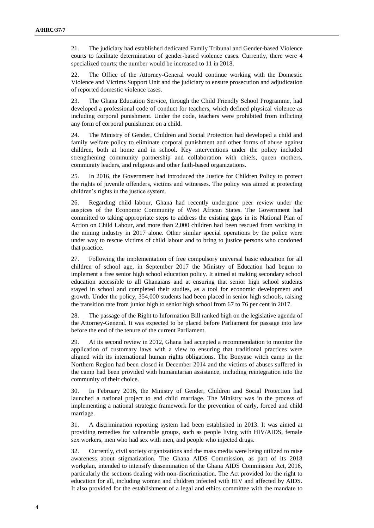21. The judiciary had established dedicated Family Tribunal and Gender-based Violence courts to facilitate determination of gender-based violence cases. Currently, there were 4 specialized courts; the number would be increased to 11 in 2018.

22. The Office of the Attorney-General would continue working with the Domestic Violence and Victims Support Unit and the judiciary to ensure prosecution and adjudication of reported domestic violence cases.

23. The Ghana Education Service, through the Child Friendly School Programme, had developed a professional code of conduct for teachers, which defined physical violence as including corporal punishment. Under the code, teachers were prohibited from inflicting any form of corporal punishment on a child.

24. The Ministry of Gender, Children and Social Protection had developed a child and family welfare policy to eliminate corporal punishment and other forms of abuse against children, both at home and in school. Key interventions under the policy included strengthening community partnership and collaboration with chiefs, queen mothers, community leaders, and religious and other faith-based organizations.

25. In 2016, the Government had introduced the Justice for Children Policy to protect the rights of juvenile offenders, victims and witnesses. The policy was aimed at protecting children's rights in the justice system.

26. Regarding child labour, Ghana had recently undergone peer review under the auspices of the Economic Community of West African States. The Government had committed to taking appropriate steps to address the existing gaps in its National Plan of Action on Child Labour, and more than 2,000 children had been rescued from working in the mining industry in 2017 alone. Other similar special operations by the police were under way to rescue victims of child labour and to bring to justice persons who condoned that practice.

27. Following the implementation of free compulsory universal basic education for all children of school age, in September 2017 the Ministry of Education had begun to implement a free senior high school education policy. It aimed at making secondary school education accessible to all Ghanaians and at ensuring that senior high school students stayed in school and completed their studies, as a tool for economic development and growth. Under the policy, 354,000 students had been placed in senior high schools, raising the transition rate from junior high to senior high school from 67 to 76 per cent in 2017.

28. The passage of the Right to Information Bill ranked high on the legislative agenda of the Attorney-General. It was expected to be placed before Parliament for passage into law before the end of the tenure of the current Parliament.

29. At its second review in 2012, Ghana had accepted a recommendation to monitor the application of customary laws with a view to ensuring that traditional practices were aligned with its international human rights obligations. The Bonyase witch camp in the Northern Region had been closed in December 2014 and the victims of abuses suffered in the camp had been provided with humanitarian assistance, including reintegration into the community of their choice.

30. In February 2016, the Ministry of Gender, Children and Social Protection had launched a national project to end child marriage. The Ministry was in the process of implementing a national strategic framework for the prevention of early, forced and child marriage.

31. A discrimination reporting system had been established in 2013. It was aimed at providing remedies for vulnerable groups, such as people living with HIV/AIDS, female sex workers, men who had sex with men, and people who injected drugs.

32. Currently, civil society organizations and the mass media were being utilized to raise awareness about stigmatization. The Ghana AIDS Commission, as part of its 2018 workplan, intended to intensify dissemination of the Ghana AIDS Commission Act, 2016, particularly the sections dealing with non-discrimination. The Act provided for the right to education for all, including women and children infected with HIV and affected by AIDS. It also provided for the establishment of a legal and ethics committee with the mandate to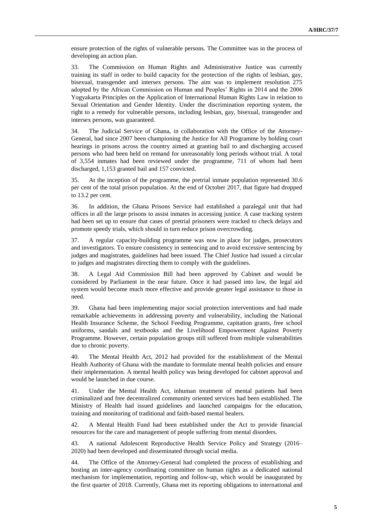ensure protection of the rights of vulnerable persons. The Committee was in the process of developing an action plan.

33. The Commission on Human Rights and Administrative Justice was currently training its staff in order to build capacity for the protection of the rights of lesbian, gay, bisexual, transgender and intersex persons. The aim was to implement resolution 275 adopted by the African Commission on Human and Peoples' Rights in 2014 and the 2006 Yogyakarta Principles on the Application of International Human Rights Law in relation to Sexual Orientation and Gender Identity. Under the discrimination reporting system, the right to a remedy for vulnerable persons, including lesbian, gay, bisexual, transgender and intersex persons, was guaranteed.

34. The Judicial Service of Ghana, in collaboration with the Office of the Attorney-General, had since 2007 been championing the Justice for All Programme by holding court hearings in prisons across the country aimed at granting bail to and discharging accused persons who had been held on remand for unreasonably long periods without trial. A total of 3,554 inmates had been reviewed under the programme, 711 of whom had been discharged, 1,153 granted bail and 157 convicted.

35. At the inception of the programme, the pretrial inmate population represented 30.6 per cent of the total prison population. At the end of October 2017, that figure had dropped to 13.2 per cent.

36. In addition, the Ghana Prisons Service had established a paralegal unit that had offices in all the large prisons to assist inmates in accessing justice. A case tracking system had been set up to ensure that cases of pretrial prisoners were tracked to check delays and promote speedy trials, which should in turn reduce prison overcrowding.

37. A regular capacity-building programme was now in place for judges, prosecutors and investigators. To ensure consistency in sentencing and to avoid excessive sentencing by judges and magistrates, guidelines had been issued. The Chief Justice had issued a circular to judges and magistrates directing them to comply with the guidelines.

38. A Legal Aid Commission Bill had been approved by Cabinet and would be considered by Parliament in the near future. Once it had passed into law, the legal aid system would become much more effective and provide greater legal assistance to those in need.

39. Ghana had been implementing major social protection interventions and had made remarkable achievements in addressing poverty and vulnerability, including the National Health Insurance Scheme, the School Feeding Programme, capitation grants, free school uniforms, sandals and textbooks and the Livelihood Empowerment Against Poverty Programme. However, certain population groups still suffered from multiple vulnerabilities due to chronic poverty.

40. The Mental Health Act, 2012 had provided for the establishment of the Mental Health Authority of Ghana with the mandate to formulate mental health policies and ensure their implementation. A mental health policy was being developed for cabinet approval and would be launched in due course.

41. Under the Mental Health Act, inhuman treatment of mental patients had been criminalized and free decentralized community oriented services had been established. The Ministry of Health had issued guidelines and launched campaigns for the education, training and monitoring of traditional and faith-based mental healers.

42. A Mental Health Fund had been established under the Act to provide financial resources for the care and management of people suffering from mental disorders.

43. A national Adolescent Reproductive Health Service Policy and Strategy (2016– 2020) had been developed and disseminated through social media.

44. The Office of the Attorney-General had completed the process of establishing and hosting an inter-agency coordinating committee on human rights as a dedicated national mechanism for implementation, reporting and follow-up, which would be inaugurated by the first quarter of 2018. Currently, Ghana met its reporting obligations to international and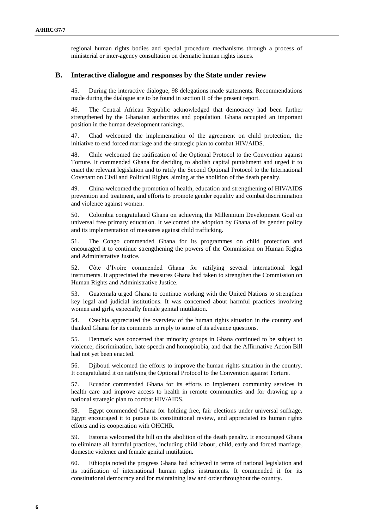regional human rights bodies and special procedure mechanisms through a process of ministerial or inter-agency consultation on thematic human rights issues.

#### **B. Interactive dialogue and responses by the State under review**

45. During the interactive dialogue, 98 delegations made statements. Recommendations made during the dialogue are to be found in section II of the present report.

46. The Central African Republic acknowledged that democracy had been further strengthened by the Ghanaian authorities and population. Ghana occupied an important position in the human development rankings.

47. Chad welcomed the implementation of the agreement on child protection, the initiative to end forced marriage and the strategic plan to combat HIV/AIDS.

48. Chile welcomed the ratification of the Optional Protocol to the Convention against Torture. It commended Ghana for deciding to abolish capital punishment and urged it to enact the relevant legislation and to ratify the Second Optional Protocol to the International Covenant on Civil and Political Rights, aiming at the abolition of the death penalty.

49. China welcomed the promotion of health, education and strengthening of HIV/AIDS prevention and treatment, and efforts to promote gender equality and combat discrimination and violence against women.

50. Colombia congratulated Ghana on achieving the Millennium Development Goal on universal free primary education. It welcomed the adoption by Ghana of its gender policy and its implementation of measures against child trafficking.

51. The Congo commended Ghana for its programmes on child protection and encouraged it to continue strengthening the powers of the Commission on Human Rights and Administrative Justice.

52. Côte d'Ivoire commended Ghana for ratifying several international legal instruments. It appreciated the measures Ghana had taken to strengthen the Commission on Human Rights and Administrative Justice.

53. Guatemala urged Ghana to continue working with the United Nations to strengthen key legal and judicial institutions. It was concerned about harmful practices involving women and girls, especially female genital mutilation.

54. Czechia appreciated the overview of the human rights situation in the country and thanked Ghana for its comments in reply to some of its advance questions.

55. Denmark was concerned that minority groups in Ghana continued to be subject to violence, discrimination, hate speech and homophobia, and that the Affirmative Action Bill had not yet been enacted.

56. Djibouti welcomed the efforts to improve the human rights situation in the country. It congratulated it on ratifying the Optional Protocol to the Convention against Torture.

57. Ecuador commended Ghana for its efforts to implement community services in health care and improve access to health in remote communities and for drawing up a national strategic plan to combat HIV/AIDS.

58. Egypt commended Ghana for holding free, fair elections under universal suffrage. Egypt encouraged it to pursue its constitutional review, and appreciated its human rights efforts and its cooperation with OHCHR.

59. Estonia welcomed the bill on the abolition of the death penalty. It encouraged Ghana to eliminate all harmful practices, including child labour, child, early and forced marriage, domestic violence and female genital mutilation.

60. Ethiopia noted the progress Ghana had achieved in terms of national legislation and its ratification of international human rights instruments. It commended it for its constitutional democracy and for maintaining law and order throughout the country.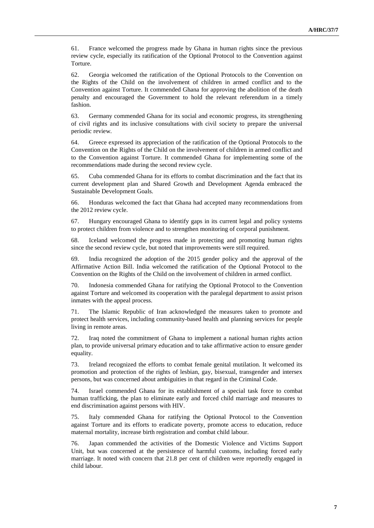61. France welcomed the progress made by Ghana in human rights since the previous review cycle, especially its ratification of the Optional Protocol to the Convention against Torture.

62. Georgia welcomed the ratification of the Optional Protocols to the Convention on the Rights of the Child on the involvement of children in armed conflict and to the Convention against Torture. It commended Ghana for approving the abolition of the death penalty and encouraged the Government to hold the relevant referendum in a timely fashion.

63. Germany commended Ghana for its social and economic progress, its strengthening of civil rights and its inclusive consultations with civil society to prepare the universal periodic review.

64. Greece expressed its appreciation of the ratification of the Optional Protocols to the Convention on the Rights of the Child on the involvement of children in armed conflict and to the Convention against Torture. It commended Ghana for implementing some of the recommendations made during the second review cycle.

65. Cuba commended Ghana for its efforts to combat discrimination and the fact that its current development plan and Shared Growth and Development Agenda embraced the Sustainable Development Goals.

66. Honduras welcomed the fact that Ghana had accepted many recommendations from the 2012 review cycle.

67. Hungary encouraged Ghana to identify gaps in its current legal and policy systems to protect children from violence and to strengthen monitoring of corporal punishment.

68. Iceland welcomed the progress made in protecting and promoting human rights since the second review cycle, but noted that improvements were still required.

69. India recognized the adoption of the 2015 gender policy and the approval of the Affirmative Action Bill. India welcomed the ratification of the Optional Protocol to the Convention on the Rights of the Child on the involvement of children in armed conflict.

70. Indonesia commended Ghana for ratifying the Optional Protocol to the Convention against Torture and welcomed its cooperation with the paralegal department to assist prison inmates with the appeal process.

71. The Islamic Republic of Iran acknowledged the measures taken to promote and protect health services, including community-based health and planning services for people living in remote areas.

72. Iraq noted the commitment of Ghana to implement a national human rights action plan, to provide universal primary education and to take affirmative action to ensure gender equality.

73. Ireland recognized the efforts to combat female genital mutilation. It welcomed its promotion and protection of the rights of lesbian, gay, bisexual, transgender and intersex persons, but was concerned about ambiguities in that regard in the Criminal Code.

74. Israel commended Ghana for its establishment of a special task force to combat human trafficking, the plan to eliminate early and forced child marriage and measures to end discrimination against persons with HIV.

75. Italy commended Ghana for ratifying the Optional Protocol to the Convention against Torture and its efforts to eradicate poverty, promote access to education, reduce maternal mortality, increase birth registration and combat child labour.

76. Japan commended the activities of the Domestic Violence and Victims Support Unit, but was concerned at the persistence of harmful customs, including forced early marriage. It noted with concern that 21.8 per cent of children were reportedly engaged in child labour.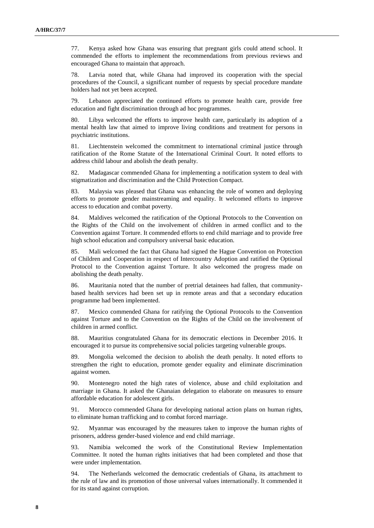77. Kenya asked how Ghana was ensuring that pregnant girls could attend school. It commended the efforts to implement the recommendations from previous reviews and encouraged Ghana to maintain that approach.

78. Latvia noted that, while Ghana had improved its cooperation with the special procedures of the Council, a significant number of requests by special procedure mandate holders had not yet been accepted.

79. Lebanon appreciated the continued efforts to promote health care, provide free education and fight discrimination through ad hoc programmes.

80. Libya welcomed the efforts to improve health care, particularly its adoption of a mental health law that aimed to improve living conditions and treatment for persons in psychiatric institutions.

81. Liechtenstein welcomed the commitment to international criminal justice through ratification of the Rome Statute of the International Criminal Court. It noted efforts to address child labour and abolish the death penalty.

82. Madagascar commended Ghana for implementing a notification system to deal with stigmatization and discrimination and the Child Protection Compact.

83. Malaysia was pleased that Ghana was enhancing the role of women and deploying efforts to promote gender mainstreaming and equality. It welcomed efforts to improve access to education and combat poverty.

84. Maldives welcomed the ratification of the Optional Protocols to the Convention on the Rights of the Child on the involvement of children in armed conflict and to the Convention against Torture. It commended efforts to end child marriage and to provide free high school education and compulsory universal basic education.

85. Mali welcomed the fact that Ghana had signed the Hague Convention on Protection of Children and Cooperation in respect of Intercountry Adoption and ratified the Optional Protocol to the Convention against Torture. It also welcomed the progress made on abolishing the death penalty.

86. Mauritania noted that the number of pretrial detainees had fallen, that communitybased health services had been set up in remote areas and that a secondary education programme had been implemented.

87. Mexico commended Ghana for ratifying the Optional Protocols to the Convention against Torture and to the Convention on the Rights of the Child on the involvement of children in armed conflict.

88. Mauritius congratulated Ghana for its democratic elections in December 2016. It encouraged it to pursue its comprehensive social policies targeting vulnerable groups.

89. Mongolia welcomed the decision to abolish the death penalty. It noted efforts to strengthen the right to education, promote gender equality and eliminate discrimination against women.

90. Montenegro noted the high rates of violence, abuse and child exploitation and marriage in Ghana. It asked the Ghanaian delegation to elaborate on measures to ensure affordable education for adolescent girls.

91. Morocco commended Ghana for developing national action plans on human rights, to eliminate human trafficking and to combat forced marriage.

92. Myanmar was encouraged by the measures taken to improve the human rights of prisoners, address gender-based violence and end child marriage.

93. Namibia welcomed the work of the Constitutional Review Implementation Committee. It noted the human rights initiatives that had been completed and those that were under implementation.

94. The Netherlands welcomed the democratic credentials of Ghana, its attachment to the rule of law and its promotion of those universal values internationally. It commended it for its stand against corruption.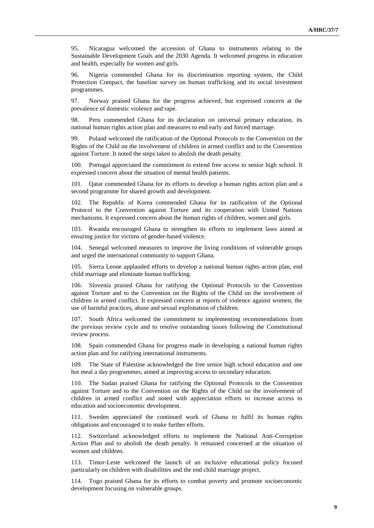95. Nicaragua welcomed the accession of Ghana to instruments relating to the Sustainable Development Goals and the 2030 Agenda. It welcomed progress in education and health, especially for women and girls.

96. Nigeria commended Ghana for its discrimination reporting system, the Child Protection Compact, the baseline survey on human trafficking and its social investment programmes.

97. Norway praised Ghana for the progress achieved, but expressed concern at the prevalence of domestic violence and rape.

98. Peru commended Ghana for its declaration on universal primary education, its national human rights action plan and measures to end early and forced marriage.

99. Poland welcomed the ratification of the Optional Protocols to the Convention on the Rights of the Child on the involvement of children in armed conflict and to the Convention against Torture. It noted the steps taken to abolish the death penalty.

100. Portugal appreciated the commitment to extend free access to senior high school. It expressed concern about the situation of mental health patients.

101. Qatar commended Ghana for its efforts to develop a human rights action plan and a second programme for shared growth and development.

102. The Republic of Korea commended Ghana for its ratification of the Optional Protocol to the Convention against Torture and its cooperation with United Nations mechanisms. It expressed concern about the human rights of children, women and girls.

103. Rwanda encouraged Ghana to strengthen its efforts to implement laws aimed at ensuring justice for victims of gender-based violence.

104. Senegal welcomed measures to improve the living conditions of vulnerable groups and urged the international community to support Ghana.

105. Sierra Leone applauded efforts to develop a national human rights action plan, end child marriage and eliminate human trafficking.

106. Slovenia praised Ghana for ratifying the Optional Protocols to the Convention against Torture and to the Convention on the Rights of the Child on the involvement of children in armed conflict. It expressed concern at reports of violence against women, the use of harmful practices, abuse and sexual exploitation of children.

107. South Africa welcomed the commitment to implementing recommendations from the previous review cycle and to resolve outstanding issues following the Constitutional review process.

108. Spain commended Ghana for progress made in developing a national human rights action plan and for ratifying international instruments.

109. The State of Palestine acknowledged the free senior high school education and one hot meal a day programmes, aimed at improving access to secondary education.

110. The Sudan praised Ghana for ratifying the Optional Protocols to the Convention against Torture and to the Convention on the Rights of the Child on the involvement of children in armed conflict and noted with appreciation efforts to increase access to education and socioeconomic development.

111. Sweden appreciated the continued work of Ghana to fulfil its human rights obligations and encouraged it to make further efforts.

112. Switzerland acknowledged efforts to implement the National Anti-Corruption Action Plan and to abolish the death penalty. It remained concerned at the situation of women and children.

113. Timor-Leste welcomed the launch of an inclusive educational policy focused particularly on children with disabilities and the end child marriage project.

114. Togo praised Ghana for its efforts to combat poverty and promote socioeconomic development focusing on vulnerable groups.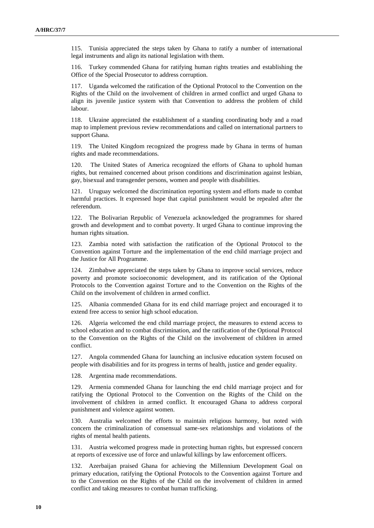115. Tunisia appreciated the steps taken by Ghana to ratify a number of international legal instruments and align its national legislation with them.

116. Turkey commended Ghana for ratifying human rights treaties and establishing the Office of the Special Prosecutor to address corruption.

117. Uganda welcomed the ratification of the Optional Protocol to the Convention on the Rights of the Child on the involvement of children in armed conflict and urged Ghana to align its juvenile justice system with that Convention to address the problem of child labour.

118. Ukraine appreciated the establishment of a standing coordinating body and a road map to implement previous review recommendations and called on international partners to support Ghana.

119. The United Kingdom recognized the progress made by Ghana in terms of human rights and made recommendations.

120. The United States of America recognized the efforts of Ghana to uphold human rights, but remained concerned about prison conditions and discrimination against lesbian, gay, bisexual and transgender persons, women and people with disabilities.

121. Uruguay welcomed the discrimination reporting system and efforts made to combat harmful practices. It expressed hope that capital punishment would be repealed after the referendum.

122. The Bolivarian Republic of Venezuela acknowledged the programmes for shared growth and development and to combat poverty. It urged Ghana to continue improving the human rights situation.

123. Zambia noted with satisfaction the ratification of the Optional Protocol to the Convention against Torture and the implementation of the end child marriage project and the Justice for All Programme.

124. Zimbabwe appreciated the steps taken by Ghana to improve social services, reduce poverty and promote socioeconomic development, and its ratification of the Optional Protocols to the Convention against Torture and to the Convention on the Rights of the Child on the involvement of children in armed conflict.

125. Albania commended Ghana for its end child marriage project and encouraged it to extend free access to senior high school education.

126. Algeria welcomed the end child marriage project, the measures to extend access to school education and to combat discrimination, and the ratification of the Optional Protocol to the Convention on the Rights of the Child on the involvement of children in armed conflict.

127. Angola commended Ghana for launching an inclusive education system focused on people with disabilities and for its progress in terms of health, justice and gender equality.

128. Argentina made recommendations.

129. Armenia commended Ghana for launching the end child marriage project and for ratifying the Optional Protocol to the Convention on the Rights of the Child on the involvement of children in armed conflict. It encouraged Ghana to address corporal punishment and violence against women.

130. Australia welcomed the efforts to maintain religious harmony, but noted with concern the criminalization of consensual same-sex relationships and violations of the rights of mental health patients.

131. Austria welcomed progress made in protecting human rights, but expressed concern at reports of excessive use of force and unlawful killings by law enforcement officers.

132. Azerbaijan praised Ghana for achieving the Millennium Development Goal on primary education, ratifying the Optional Protocols to the Convention against Torture and to the Convention on the Rights of the Child on the involvement of children in armed conflict and taking measures to combat human trafficking.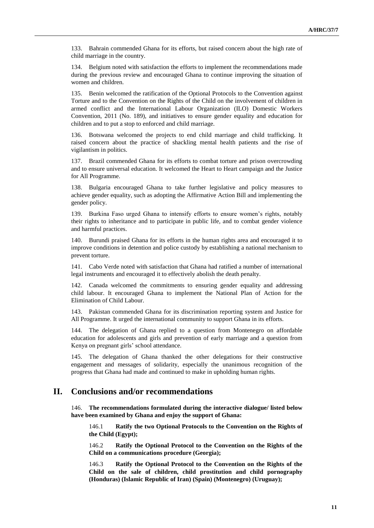133. Bahrain commended Ghana for its efforts, but raised concern about the high rate of child marriage in the country.

134. Belgium noted with satisfaction the efforts to implement the recommendations made during the previous review and encouraged Ghana to continue improving the situation of women and children.

135. Benin welcomed the ratification of the Optional Protocols to the Convention against Torture and to the Convention on the Rights of the Child on the involvement of children in armed conflict and the International Labour Organization (ILO) Domestic Workers Convention, 2011 (No. 189), and initiatives to ensure gender equality and education for children and to put a stop to enforced and child marriage.

136. Botswana welcomed the projects to end child marriage and child trafficking. It raised concern about the practice of shackling mental health patients and the rise of vigilantism in politics.

137. Brazil commended Ghana for its efforts to combat torture and prison overcrowding and to ensure universal education. It welcomed the Heart to Heart campaign and the Justice for All Programme.

138. Bulgaria encouraged Ghana to take further legislative and policy measures to achieve gender equality, such as adopting the Affirmative Action Bill and implementing the gender policy.

139. Burkina Faso urged Ghana to intensify efforts to ensure women's rights, notably their rights to inheritance and to participate in public life, and to combat gender violence and harmful practices.

140. Burundi praised Ghana for its efforts in the human rights area and encouraged it to improve conditions in detention and police custody by establishing a national mechanism to prevent torture.

141. Cabo Verde noted with satisfaction that Ghana had ratified a number of international legal instruments and encouraged it to effectively abolish the death penalty.

142. Canada welcomed the commitments to ensuring gender equality and addressing child labour. It encouraged Ghana to implement the National Plan of Action for the Elimination of Child Labour.

143. Pakistan commended Ghana for its discrimination reporting system and Justice for All Programme. It urged the international community to support Ghana in its efforts.

144. The delegation of Ghana replied to a question from Montenegro on affordable education for adolescents and girls and prevention of early marriage and a question from Kenya on pregnant girls' school attendance.

145. The delegation of Ghana thanked the other delegations for their constructive engagement and messages of solidarity, especially the unanimous recognition of the progress that Ghana had made and continued to make in upholding human rights.

# **II. Conclusions and/or recommendations**

146. **The recommendations formulated during the interactive dialogue/ listed below have been examined by Ghana and enjoy the support of Ghana:**

146.1 **Ratify the two Optional Protocols to the Convention on the Rights of the Child (Egypt);**

146.2 **Ratify the Optional Protocol to the Convention on the Rights of the Child on a communications procedure (Georgia);**

146.3 **Ratify the Optional Protocol to the Convention on the Rights of the Child on the sale of children, child prostitution and child pornography (Honduras) (Islamic Republic of Iran) (Spain) (Montenegro) (Uruguay);**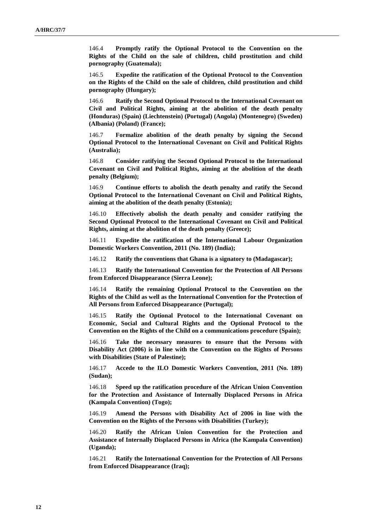146.4 **Promptly ratify the Optional Protocol to the Convention on the Rights of the Child on the sale of children, child prostitution and child pornography (Guatemala);**

146.5 **Expedite the ratification of the Optional Protocol to the Convention on the Rights of the Child on the sale of children, child prostitution and child pornography (Hungary);**

146.6 **Ratify the Second Optional Protocol to the International Covenant on Civil and Political Rights, aiming at the abolition of the death penalty (Honduras) (Spain) (Liechtenstein) (Portugal) (Angola) (Montenegro) (Sweden) (Albania) (Poland) (France);**

146.7 **Formalize abolition of the death penalty by signing the Second Optional Protocol to the International Covenant on Civil and Political Rights (Australia);**

146.8 **Consider ratifying the Second Optional Protocol to the International Covenant on Civil and Political Rights, aiming at the abolition of the death penalty (Belgium);**

146.9 **Continue efforts to abolish the death penalty and ratify the Second Optional Protocol to the International Covenant on Civil and Political Rights, aiming at the abolition of the death penalty (Estonia);**

146.10 **Effectively abolish the death penalty and consider ratifying the Second Optional Protocol to the International Covenant on Civil and Political Rights, aiming at the abolition of the death penalty (Greece);**

146.11 **Expedite the ratification of the International Labour Organization Domestic Workers Convention, 2011 (No. 189) (India);**

146.12 **Ratify the conventions that Ghana is a signatory to (Madagascar);**

146.13 **Ratify the International Convention for the Protection of All Persons from Enforced Disappearance (Sierra Leone);**

146.14 **Ratify the remaining Optional Protocol to the Convention on the Rights of the Child as well as the International Convention for the Protection of All Persons from Enforced Disappearance (Portugal);**

146.15 **Ratify the Optional Protocol to the International Covenant on Economic, Social and Cultural Rights and the Optional Protocol to the Convention on the Rights of the Child on a communications procedure (Spain);**

146.16 **Take the necessary measures to ensure that the Persons with Disability Act (2006) is in line with the Convention on the Rights of Persons with Disabilities (State of Palestine);**

146.17 **Accede to the ILO Domestic Workers Convention, 2011 (No. 189) (Sudan);**

146.18 **Speed up the ratification procedure of the African Union Convention for the Protection and Assistance of Internally Displaced Persons in Africa (Kampala Convention) (Togo);**

146.19 **Amend the Persons with Disability Act of 2006 in line with the Convention on the Rights of the Persons with Disabilities (Turkey);**

146.20 **Ratify the African Union Convention for the Protection and Assistance of Internally Displaced Persons in Africa (the Kampala Convention) (Uganda);**

146.21 **Ratify the International Convention for the Protection of All Persons from Enforced Disappearance (Iraq);**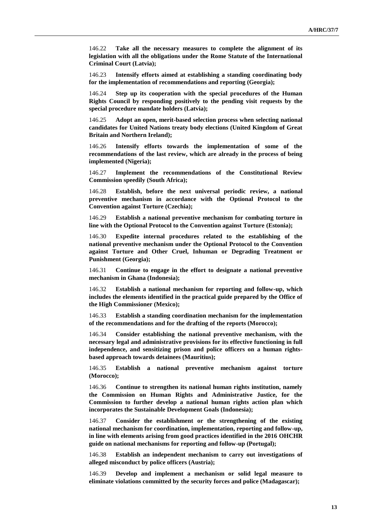146.22 **Take all the necessary measures to complete the alignment of its legislation with all the obligations under the Rome Statute of the International Criminal Court (Latvia);**

146.23 **Intensify efforts aimed at establishing a standing coordinating body for the implementation of recommendations and reporting (Georgia);**

146.24 **Step up its cooperation with the special procedures of the Human Rights Council by responding positively to the pending visit requests by the special procedure mandate holders (Latvia);**

146.25 **Adopt an open, merit-based selection process when selecting national candidates for United Nations treaty body elections (United Kingdom of Great Britain and Northern Ireland);**

146.26 **Intensify efforts towards the implementation of some of the recommendations of the last review, which are already in the process of being implemented (Nigeria);**

146.27 **Implement the recommendations of the Constitutional Review Commission speedily (South Africa);**

146.28 **Establish, before the next universal periodic review, a national preventive mechanism in accordance with the Optional Protocol to the Convention against Torture (Czechia);**

146.29 **Establish a national preventive mechanism for combating torture in line with the Optional Protocol to the Convention against Torture (Estonia);**

146.30 **Expedite internal procedures related to the establishing of the national preventive mechanism under the Optional Protocol to the Convention against Torture and Other Cruel, Inhuman or Degrading Treatment or Punishment (Georgia);**

146.31 **Continue to engage in the effort to designate a national preventive mechanism in Ghana (Indonesia);**

146.32 **Establish a national mechanism for reporting and follow-up, which includes the elements identified in the practical guide prepared by the Office of the High Commissioner (Mexico);**

146.33 **Establish a standing coordination mechanism for the implementation of the recommendations and for the drafting of the reports (Morocco);**

146.34 **Consider establishing the national preventive mechanism, with the necessary legal and administrative provisions for its effective functioning in full independence, and sensitizing prison and police officers on a human rightsbased approach towards detainees (Mauritius);**

146.35 **Establish a national preventive mechanism against torture (Morocco);**

146.36 **Continue to strengthen its national human rights institution, namely the Commission on Human Rights and Administrative Justice, for the Commission to further develop a national human rights action plan which incorporates the Sustainable Development Goals (Indonesia);**

146.37 **Consider the establishment or the strengthening of the existing national mechanism for coordination, implementation, reporting and follow-up, in line with elements arising from good practices identified in the 2016 OHCHR guide on national mechanisms for reporting and follow-up (Portugal);**

146.38 **Establish an independent mechanism to carry out investigations of alleged misconduct by police officers (Austria);**

146.39 **Develop and implement a mechanism or solid legal measure to eliminate violations committed by the security forces and police (Madagascar);**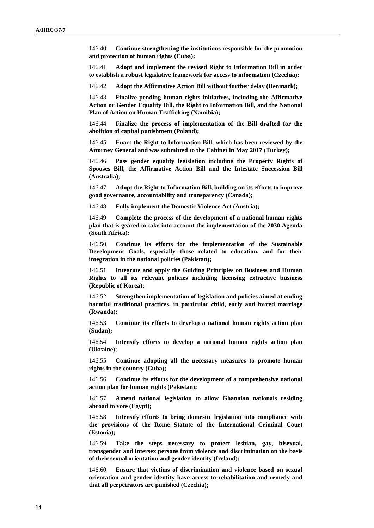146.40 **Continue strengthening the institutions responsible for the promotion and protection of human rights (Cuba);**

146.41 **Adopt and implement the revised Right to Information Bill in order to establish a robust legislative framework for access to information (Czechia);**

146.42 **Adopt the Affirmative Action Bill without further delay (Denmark);**

146.43 **Finalize pending human rights initiatives, including the Affirmative Action or Gender Equality Bill, the Right to Information Bill, and the National Plan of Action on Human Trafficking (Namibia);**

146.44 **Finalize the process of implementation of the Bill drafted for the abolition of capital punishment (Poland);**

146.45 **Enact the Right to Information Bill, which has been reviewed by the Attorney General and was submitted to the Cabinet in May 2017 (Turkey);**

146.46 **Pass gender equality legislation including the Property Rights of Spouses Bill, the Affirmative Action Bill and the Intestate Succession Bill (Australia);**

146.47 **Adopt the Right to Information Bill, building on its efforts to improve good governance, accountability and transparency (Canada);**

146.48 **Fully implement the Domestic Violence Act (Austria);**

146.49 **Complete the process of the development of a national human rights plan that is geared to take into account the implementation of the 2030 Agenda (South Africa);**

146.50 **Continue its efforts for the implementation of the Sustainable Development Goals, especially those related to education, and for their integration in the national policies (Pakistan);**

146.51 **Integrate and apply the Guiding Principles on Business and Human Rights to all its relevant policies including licensing extractive business (Republic of Korea);**

146.52 **Strengthen implementation of legislation and policies aimed at ending harmful traditional practices, in particular child, early and forced marriage (Rwanda);**

146.53 **Continue its efforts to develop a national human rights action plan (Sudan);**

146.54 **Intensify efforts to develop a national human rights action plan (Ukraine);**

146.55 **Continue adopting all the necessary measures to promote human rights in the country (Cuba);**

146.56 **Continue its efforts for the development of a comprehensive national action plan for human rights (Pakistan);**

146.57 **Amend national legislation to allow Ghanaian nationals residing abroad to vote (Egypt);**

146.58 **Intensify efforts to bring domestic legislation into compliance with the provisions of the Rome Statute of the International Criminal Court (Estonia);**

146.59 **Take the steps necessary to protect lesbian, gay, bisexual, transgender and intersex persons from violence and discrimination on the basis of their sexual orientation and gender identity (Ireland);**

146.60 **Ensure that victims of discrimination and violence based on sexual orientation and gender identity have access to rehabilitation and remedy and that all perpetrators are punished (Czechia);**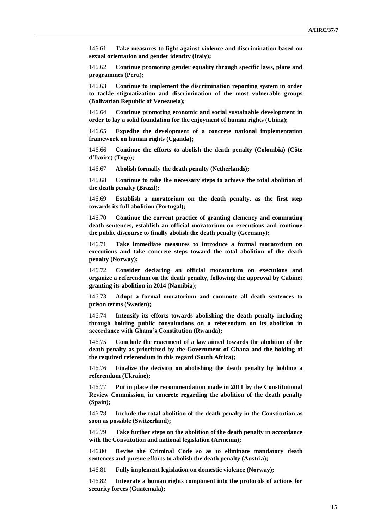146.61 **Take measures to fight against violence and discrimination based on sexual orientation and gender identity (Italy);**

146.62 **Continue promoting gender equality through specific laws, plans and programmes (Peru);**

146.63 **Continue to implement the discrimination reporting system in order to tackle stigmatization and discrimination of the most vulnerable groups (Bolivarian Republic of Venezuela);**

146.64 **Continue promoting economic and social sustainable development in order to lay a solid foundation for the enjoyment of human rights (China);**

146.65 **Expedite the development of a concrete national implementation framework on human rights (Uganda);**

146.66 **Continue the efforts to abolish the death penalty (Colombia) (Côte d'Ivoire) (Togo);**

146.67 **Abolish formally the death penalty (Netherlands);**

146.68 **Continue to take the necessary steps to achieve the total abolition of the death penalty (Brazil);**

146.69 **Establish a moratorium on the death penalty, as the first step towards its full abolition (Portugal);**

146.70 **Continue the current practice of granting clemency and commuting death sentences, establish an official moratorium on executions and continue the public discourse to finally abolish the death penalty (Germany);**

146.71 **Take immediate measures to introduce a formal moratorium on executions and take concrete steps toward the total abolition of the death penalty (Norway);**

146.72 **Consider declaring an official moratorium on executions and organize a referendum on the death penalty, following the approval by Cabinet granting its abolition in 2014 (Namibia);**

146.73 **Adopt a formal moratorium and commute all death sentences to prison terms (Sweden);**

146.74 **Intensify its efforts towards abolishing the death penalty including through holding public consultations on a referendum on its abolition in accordance with Ghana's Constitution (Rwanda);**

146.75 **Conclude the enactment of a law aimed towards the abolition of the death penalty as prioritized by the Government of Ghana and the holding of the required referendum in this regard (South Africa);**

146.76 **Finalize the decision on abolishing the death penalty by holding a referendum (Ukraine);**

146.77 **Put in place the recommendation made in 2011 by the Constitutional Review Commission, in concrete regarding the abolition of the death penalty (Spain);**

146.78 **Include the total abolition of the death penalty in the Constitution as soon as possible (Switzerland);**

146.79 **Take further steps on the abolition of the death penalty in accordance with the Constitution and national legislation (Armenia);**

146.80 **Revise the Criminal Code so as to eliminate mandatory death sentences and pursue efforts to abolish the death penalty (Austria);**

146.81 **Fully implement legislation on domestic violence (Norway);**

146.82 **Integrate a human rights component into the protocols of actions for security forces (Guatemala);**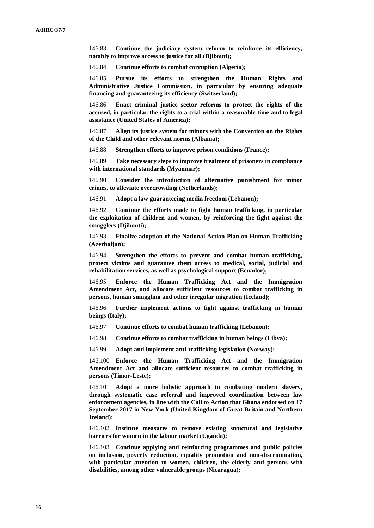146.83 **Continue the judiciary system reform to reinforce its efficiency, notably to improve access to justice for all (Djibouti);**

146.84 **Continue efforts to combat corruption (Algeria);**

146.85 **Pursue its efforts to strengthen the Human Rights and Administrative Justice Commission, in particular by ensuring adequate financing and guaranteeing its efficiency (Switzerland);**

146.86 **Enact criminal justice sector reforms to protect the rights of the accused, in particular the rights to a trial within a reasonable time and to legal assistance (United States of America);**

146.87 **Align its justice system for minors with the Convention on the Rights of the Child and other relevant norms (Albania);**

146.88 **Strengthen efforts to improve prison conditions (France);**

146.89 **Take necessary steps to improve treatment of prisoners in compliance with international standards (Myanmar);**

146.90 **Consider the introduction of alternative punishment for minor crimes, to alleviate overcrowding (Netherlands);**

146.91 **Adopt a law guaranteeing media freedom (Lebanon);**

146.92 **Continue the efforts made to fight human trafficking, in particular the exploitation of children and women, by reinforcing the fight against the smugglers (Djibouti);**

146.93 **Finalize adoption of the National Action Plan on Human Trafficking (Azerbaijan);**

146.94 **Strengthen the efforts to prevent and combat human trafficking, protect victims and guarantee them access to medical, social, judicial and rehabilitation services, as well as psychological support (Ecuador);**

146.95 **Enforce the Human Trafficking Act and the Immigration Amendment Act, and allocate sufficient resources to combat trafficking in persons, human smuggling and other irregular migration (Iceland);**

146.96 **Further implement actions to fight against trafficking in human beings (Italy);**

146.97 **Continue efforts to combat human trafficking (Lebanon);**

146.98 **Continue efforts to combat trafficking in human beings (Libya);**

146.99 **Adopt and implement anti-trafficking legislation (Norway);**

146.100 **Enforce the Human Trafficking Act and the Immigration Amendment Act and allocate sufficient resources to combat trafficking in persons (Timor-Leste);**

146.101 **Adopt a more holistic approach to combating modern slavery, through systematic case referral and improved coordination between law enforcement agencies, in line with the Call to Action that Ghana endorsed on 17 September 2017 in New York (United Kingdom of Great Britain and Northern Ireland);**

146.102 **Institute measures to remove existing structural and legislative barriers for women in the labour market (Uganda);**

146.103 **Continue applying and reinforcing programmes and public policies on inclusion, poverty reduction, equality promotion and non-discrimination, with particular attention to women, children, the elderly and persons with disabilities, among other vulnerable groups (Nicaragua);**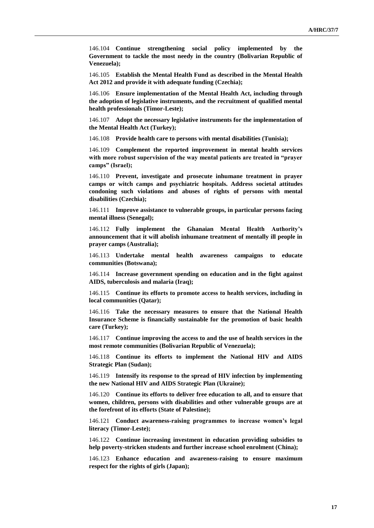146.104 **Continue strengthening social policy implemented by the Government to tackle the most needy in the country (Bolivarian Republic of Venezuela);**

146.105 **Establish the Mental Health Fund as described in the Mental Health Act 2012 and provide it with adequate funding (Czechia);**

146.106 **Ensure implementation of the Mental Health Act, including through the adoption of legislative instruments, and the recruitment of qualified mental health professionals (Timor-Leste);**

146.107 **Adopt the necessary legislative instruments for the implementation of the Mental Health Act (Turkey);**

146.108 **Provide health care to persons with mental disabilities (Tunisia);**

146.109 **Complement the reported improvement in mental health services with more robust supervision of the way mental patients are treated in "prayer camps" (Israel);**

146.110 **Prevent, investigate and prosecute inhumane treatment in prayer camps or witch camps and psychiatric hospitals. Address societal attitudes condoning such violations and abuses of rights of persons with mental disabilities (Czechia);**

146.111 **Improve assistance to vulnerable groups, in particular persons facing mental illness (Senegal);**

146.112 **Fully implement the Ghanaian Mental Health Authority's announcement that it will abolish inhumane treatment of mentally ill people in prayer camps (Australia);**

146.113 **Undertake mental health awareness campaigns to educate communities (Botswana);**

146.114 **Increase government spending on education and in the fight against AIDS, tuberculosis and malaria (Iraq);**

146.115 **Continue its efforts to promote access to health services, including in local communities (Qatar);**

146.116 **Take the necessary measures to ensure that the National Health Insurance Scheme is financially sustainable for the promotion of basic health care (Turkey);**

146.117 **Continue improving the access to and the use of health services in the most remote communities (Bolivarian Republic of Venezuela);**

146.118 **Continue its efforts to implement the National HIV and AIDS Strategic Plan (Sudan);**

146.119 **Intensify its response to the spread of HIV infection by implementing the new National HIV and AIDS Strategic Plan (Ukraine);**

146.120 **Continue its efforts to deliver free education to all, and to ensure that women, children, persons with disabilities and other vulnerable groups are at the forefront of its efforts (State of Palestine);**

146.121 **Conduct awareness-raising programmes to increase women's legal literacy (Timor-Leste);**

146.122 **Continue increasing investment in education providing subsidies to help poverty-stricken students and further increase school enrolment (China);**

146.123 **Enhance education and awareness-raising to ensure maximum respect for the rights of girls (Japan);**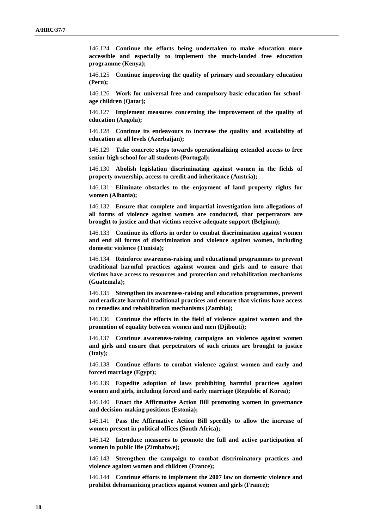146.124 **Continue the efforts being undertaken to make education more accessible and especially to implement the much-lauded free education programme (Kenya);**

146.125 **Continue improving the quality of primary and secondary education (Peru);**

146.126 **Work for universal free and compulsory basic education for schoolage children (Qatar);**

146.127 **Implement measures concerning the improvement of the quality of education (Angola);**

146.128 **Continue its endeavours to increase the quality and availability of education at all levels (Azerbaijan);**

146.129 **Take concrete steps towards operationalizing extended access to free senior high school for all students (Portugal);**

146.130 **Abolish legislation discriminating against women in the fields of property ownership, access to credit and inheritance (Austria);**

146.131 **Eliminate obstacles to the enjoyment of land property rights for women (Albania);**

146.132 **Ensure that complete and impartial investigation into allegations of all forms of violence against women are conducted, that perpetrators are brought to justice and that victims receive adequate support (Belgium);**

146.133 **Continue its efforts in order to combat discrimination against women and end all forms of discrimination and violence against women, including domestic violence (Tunisia);**

146.134 **Reinforce awareness-raising and educational programmes to prevent traditional harmful practices against women and girls and to ensure that victims have access to resources and protection and rehabilitation mechanisms (Guatemala);**

146.135 **Strengthen its awareness-raising and education programmes, prevent and eradicate harmful traditional practices and ensure that victims have access to remedies and rehabilitation mechanisms (Zambia);**

146.136 **Continue the efforts in the field of violence against women and the promotion of equality between women and men (Djibouti);**

146.137 **Continue awareness-raising campaigns on violence against women and girls and ensure that perpetrators of such crimes are brought to justice (Italy);**

146.138 **Continue efforts to combat violence against women and early and forced marriage (Egypt);**

146.139 **Expedite adoption of laws prohibiting harmful practices against women and girls, including forced and early marriage (Republic of Korea);**

146.140 **Enact the Affirmative Action Bill promoting women in governance and decision-making positions (Estonia);**

146.141 **Pass the Affirmative Action Bill speedily to allow the increase of women present in political offices (South Africa);**

146.142 **Introduce measures to promote the full and active participation of women in public life (Zimbabwe);**

146.143 **Strengthen the campaign to combat discriminatory practices and violence against women and children (France);**

146.144 **Continue efforts to implement the 2007 law on domestic violence and prohibit dehumanizing practices against women and girls (France);**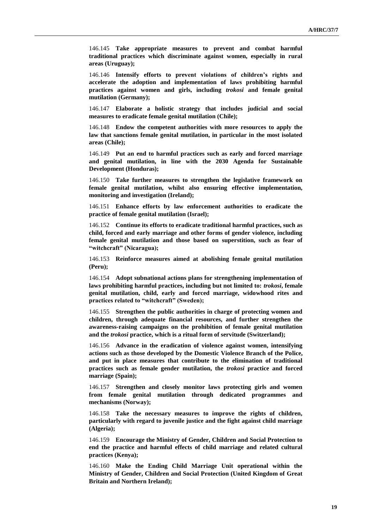146.145 **Take appropriate measures to prevent and combat harmful traditional practices which discriminate against women, especially in rural areas (Uruguay);**

146.146 **Intensify efforts to prevent violations of children's rights and accelerate the adoption and implementation of laws prohibiting harmful practices against women and girls, including** *trokosi* **and female genital mutilation (Germany);**

146.147 **Elaborate a holistic strategy that includes judicial and social measures to eradicate female genital mutilation (Chile);**

146.148 **Endow the competent authorities with more resources to apply the law that sanctions female genital mutilation, in particular in the most isolated areas (Chile);**

146.149 **Put an end to harmful practices such as early and forced marriage and genital mutilation, in line with the 2030 Agenda for Sustainable Development (Honduras);**

146.150 **Take further measures to strengthen the legislative framework on female genital mutilation, whilst also ensuring effective implementation, monitoring and investigation (Ireland);**

146.151 **Enhance efforts by law enforcement authorities to eradicate the practice of female genital mutilation (Israel);**

146.152 **Continue its efforts to eradicate traditional harmful practices, such as child, forced and early marriage and other forms of gender violence, including female genital mutilation and those based on superstition, such as fear of "witchcraft" (Nicaragua);**

146.153 **Reinforce measures aimed at abolishing female genital mutilation (Peru);**

146.154 **Adopt subnational actions plans for strengthening implementation of laws prohibiting harmful practices, including but not limited to:** *trokosi***, female genital mutilation, child, early and forced marriage, widowhood rites and practices related to "witchcraft" (Sweden);**

146.155 **Strengthen the public authorities in charge of protecting women and children, through adequate financial resources, and further strengthen the awareness-raising campaigns on the prohibition of female genital mutilation and the** *trokosi* **practice, which is a ritual form of servitude (Switzerland);**

146.156 **Advance in the eradication of violence against women, intensifying actions such as those developed by the Domestic Violence Branch of the Police, and put in place measures that contribute to the elimination of traditional practices such as female gender mutilation, the** *trokosi* **practice and forced marriage (Spain);**

146.157 **Strengthen and closely monitor laws protecting girls and women from female genital mutilation through dedicated programmes and mechanisms (Norway);**

146.158 **Take the necessary measures to improve the rights of children, particularly with regard to juvenile justice and the fight against child marriage (Algeria);**

146.159 **Encourage the Ministry of Gender, Children and Social Protection to end the practice and harmful effects of child marriage and related cultural practices (Kenya);**

146.160 **Make the Ending Child Marriage Unit operational within the Ministry of Gender, Children and Social Protection (United Kingdom of Great Britain and Northern Ireland);**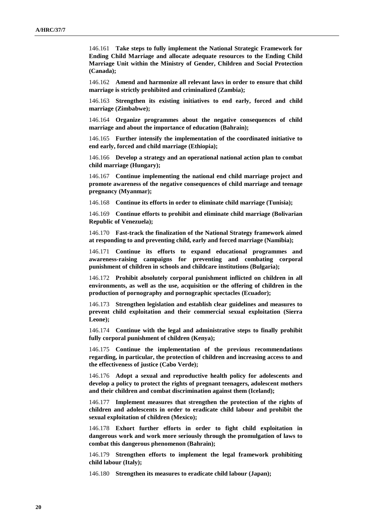146.161 **Take steps to fully implement the National Strategic Framework for Ending Child Marriage and allocate adequate resources to the Ending Child Marriage Unit within the Ministry of Gender, Children and Social Protection (Canada);**

146.162 **Amend and harmonize all relevant laws in order to ensure that child marriage is strictly prohibited and criminalized (Zambia);**

146.163 **Strengthen its existing initiatives to end early, forced and child marriage (Zimbabwe);**

146.164 **Organize programmes about the negative consequences of child marriage and about the importance of education (Bahrain);**

146.165 **Further intensify the implementation of the coordinated initiative to end early, forced and child marriage (Ethiopia);**

146.166 **Develop a strategy and an operational national action plan to combat child marriage (Hungary);**

146.167 **Continue implementing the national end child marriage project and promote awareness of the negative consequences of child marriage and teenage pregnancy (Myanmar);**

146.168 **Continue its efforts in order to eliminate child marriage (Tunisia);**

146.169 **Continue efforts to prohibit and eliminate child marriage (Bolivarian Republic of Venezuela);**

146.170 **Fast-track the finalization of the National Strategy framework aimed at responding to and preventing child, early and forced marriage (Namibia);**

146.171 **Continue its efforts to expand educational programmes and awareness-raising campaigns for preventing and combating corporal punishment of children in schools and childcare institutions (Bulgaria);**

146.172 **Prohibit absolutely corporal punishment inflicted on children in all environments, as well as the use, acquisition or the offering of children in the production of pornography and pornographic spectacles (Ecuador);**

146.173 **Strengthen legislation and establish clear guidelines and measures to prevent child exploitation and their commercial sexual exploitation (Sierra Leone);**

146.174 **Continue with the legal and administrative steps to finally prohibit fully corporal punishment of children (Kenya);**

146.175 **Continue the implementation of the previous recommendations regarding, in particular, the protection of children and increasing access to and the effectiveness of justice (Cabo Verde);**

146.176 **Adopt a sexual and reproductive health policy for adolescents and develop a policy to protect the rights of pregnant teenagers, adolescent mothers and their children and combat discrimination against them (Iceland);**

146.177 **Implement measures that strengthen the protection of the rights of children and adolescents in order to eradicate child labour and prohibit the sexual exploitation of children (Mexico);**

146.178 **Exhort further efforts in order to fight child exploitation in dangerous work and work more seriously through the promulgation of laws to combat this dangerous phenomenon (Bahrain);**

146.179 **Strengthen efforts to implement the legal framework prohibiting child labour (Italy);**

146.180 **Strengthen its measures to eradicate child labour (Japan);**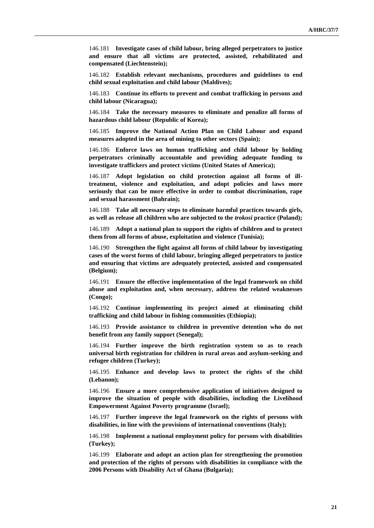146.181 **Investigate cases of child labour, bring alleged perpetrators to justice and ensure that all victims are protected, assisted, rehabilitated and compensated (Liechtenstein);**

146.182 **Establish relevant mechanisms, procedures and guidelines to end child sexual exploitation and child labour (Maldives);**

146.183 **Continue its efforts to prevent and combat trafficking in persons and child labour (Nicaragua);**

146.184 **Take the necessary measures to eliminate and penalize all forms of hazardous child labour (Republic of Korea);**

146.185 **Improve the National Action Plan on Child Labour and expand measures adopted in the area of mining to other sectors (Spain);**

146.186 **Enforce laws on human trafficking and child labour by holding perpetrators criminally accountable and providing adequate funding to investigate traffickers and protect victims (United States of America);**

146.187 **Adopt legislation on child protection against all forms of illtreatment, violence and exploitation, and adopt policies and laws more seriously that can be more effective in order to combat discrimination, rape and sexual harassment (Bahrain);**

146.188 **Take all necessary steps to eliminate harmful practices towards girls, as well as release all children who are subjected to the** *trokosi* **practice (Poland);**

146.189 **Adopt a national plan to support the rights of children and to protect them from all forms of abuse, exploitation and violence (Tunisia);**

146.190 **Strengthen the fight against all forms of child labour by investigating cases of the worst forms of child labour, bringing alleged perpetrators to justice and ensuring that victims are adequately protected, assisted and compensated (Belgium);**

146.191 **Ensure the effective implementation of the legal framework on child abuse and exploitation and, when necessary, address the related weaknesses (Congo);**

146.192 **Continue implementing its project aimed at eliminating child trafficking and child labour in fishing communities (Ethiopia);**

146.193 **Provide assistance to children in preventive detention who do not benefit from any family support (Senegal);**

146.194 **Further improve the birth registration system so as to reach universal birth registration for children in rural areas and asylum-seeking and refugee children (Turkey);**

146.195 **Enhance and develop laws to protect the rights of the child (Lebanon);**

146.196 **Ensure a more comprehensive application of initiatives designed to improve the situation of people with disabilities, including the Livelihood Empowerment Against Poverty programme (Israel);**

146.197 **Further improve the legal framework on the rights of persons with disabilities, in line with the provisions of international conventions (Italy);**

146.198 **Implement a national employment policy for persons with disabilities (Turkey);**

146.199 **Elaborate and adopt an action plan for strengthening the promotion and protection of the rights of persons with disabilities in compliance with the 2006 Persons with Disability Act of Ghana (Bulgaria);**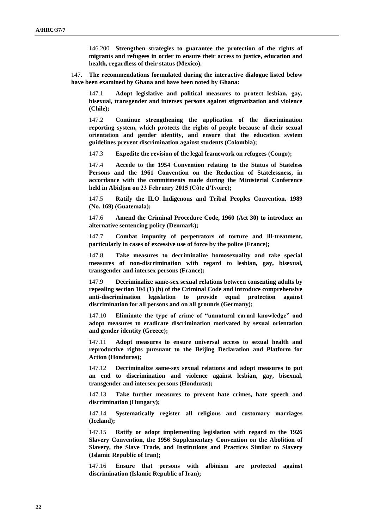146.200 **Strengthen strategies to guarantee the protection of the rights of migrants and refugees in order to ensure their access to justice, education and health, regardless of their status (Mexico).**

147. **The recommendations formulated during the interactive dialogue listed below have been examined by Ghana and have been noted by Ghana:**

147.1 **Adopt legislative and political measures to protect lesbian, gay, bisexual, transgender and intersex persons against stigmatization and violence (Chile);**

147.2 **Continue strengthening the application of the discrimination reporting system, which protects the rights of people because of their sexual orientation and gender identity, and ensure that the education system guidelines prevent discrimination against students (Colombia);**

147.3 **Expedite the revision of the legal framework on refugees (Congo);**

147.4 **Accede to the 1954 Convention relating to the Status of Stateless Persons and the 1961 Convention on the Reduction of Statelessness, in accordance with the commitments made during the Ministerial Conference held in Abidjan on 23 February 2015 (Côte d'Ivoire);**

147.5 **Ratify the ILO Indigenous and Tribal Peoples Convention, 1989 (No. 169) (Guatemala);**

147.6 **Amend the Criminal Procedure Code, 1960 (Act 30) to introduce an alternative sentencing policy (Denmark);**

147.7 **Combat impunity of perpetrators of torture and ill-treatment, particularly in cases of excessive use of force by the police (France);**

147.8 **Take measures to decriminalize homosexuality and take special measures of non-discrimination with regard to lesbian, gay, bisexual, transgender and intersex persons (France);**

147.9 **Decriminalize same-sex sexual relations between consenting adults by repealing section 104 (1) (b) of the Criminal Code and introduce comprehensive anti-discrimination legislation to provide equal protection against discrimination for all persons and on all grounds (Germany);**

147.10 **Eliminate the type of crime of "unnatural carnal knowledge" and adopt measures to eradicate discrimination motivated by sexual orientation and gender identity (Greece);**

147.11 **Adopt measures to ensure universal access to sexual health and reproductive rights pursuant to the Beijing Declaration and Platform for Action (Honduras);**

147.12 **Decriminalize same-sex sexual relations and adopt measures to put an end to discrimination and violence against lesbian, gay, bisexual, transgender and intersex persons (Honduras);**

147.13 **Take further measures to prevent hate crimes, hate speech and discrimination (Hungary);**

147.14 **Systematically register all religious and customary marriages (Iceland);**

147.15 **Ratify or adopt implementing legislation with regard to the 1926 Slavery Convention, the 1956 Supplementary Convention on the Abolition of Slavery, the Slave Trade, and Institutions and Practices Similar to Slavery (Islamic Republic of Iran);**

147.16 **Ensure that persons with albinism are protected against discrimination (Islamic Republic of Iran);**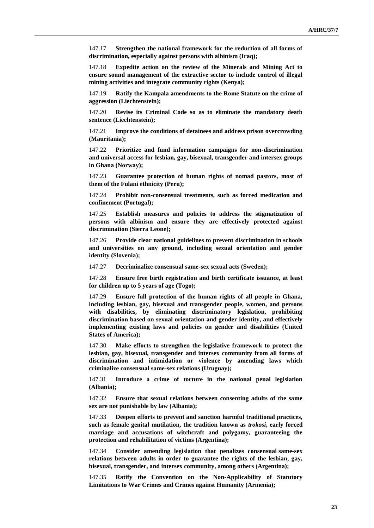147.17 **Strengthen the national framework for the reduction of all forms of discrimination, especially against persons with albinism (Iraq);**

147.18 **Expedite action on the review of the Minerals and Mining Act to ensure sound management of the extractive sector to include control of illegal mining activities and integrate community rights (Kenya);**

147.19 **Ratify the Kampala amendments to the Rome Statute on the crime of aggression (Liechtenstein);**

147.20 **Revise its Criminal Code so as to eliminate the mandatory death sentence (Liechtenstein);**

147.21 **Improve the conditions of detainees and address prison overcrowding (Mauritania);**

147.22 **Prioritize and fund information campaigns for non-discrimination and universal access for lesbian, gay, bisexual, transgender and intersex groups in Ghana (Norway);**

147.23 **Guarantee protection of human rights of nomad pastors, most of them of the Fulani ethnicity (Peru);**

147.24 **Prohibit non-consensual treatments, such as forced medication and confinement (Portugal);**

147.25 **Establish measures and policies to address the stigmatization of persons with albinism and ensure they are effectively protected against discrimination (Sierra Leone);**

147.26 **Provide clear national guidelines to prevent discrimination in schools and universities on any ground, including sexual orientation and gender identity (Slovenia);**

147.27 **Decriminalize consensual same-sex sexual acts (Sweden);**

147.28 **Ensure free birth registration and birth certificate issuance, at least for children up to 5 years of age (Togo);**

147.29 **Ensure full protection of the human rights of all people in Ghana, including lesbian, gay, bisexual and transgender people, women, and persons with disabilities, by eliminating discriminatory legislation, prohibiting discrimination based on sexual orientation and gender identity, and effectively implementing existing laws and policies on gender and disabilities (United States of America);**

147.30 **Make efforts to strengthen the legislative framework to protect the lesbian, gay, bisexual, transgender and intersex community from all forms of discrimination and intimidation or violence by amending laws which criminalize consensual same-sex relations (Uruguay);**

147.31 **Introduce a crime of torture in the national penal legislation (Albania);**

147.32 **Ensure that sexual relations between consenting adults of the same sex are not punishable by law (Albania);**

147.33 **Deepen efforts to prevent and sanction harmful traditional practices, such as female genital mutilation, the tradition known as** *trokosi***, early forced marriage and accusations of witchcraft and polygamy, guaranteeing the protection and rehabilitation of victims (Argentina);**

147.34 **Consider amending legislation that penalizes consensual same-sex relations between adults in order to guarantee the rights of the lesbian, gay, bisexual, transgender, and intersex community, among others (Argentina);**

147.35 **Ratify the Convention on the Non-Applicability of Statutory Limitations to War Crimes and Crimes against Humanity (Armenia);**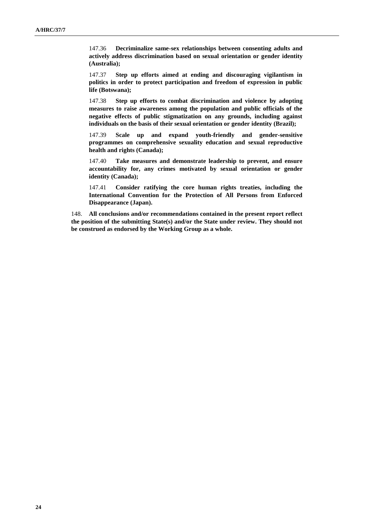147.36 **Decriminalize same-sex relationships between consenting adults and actively address discrimination based on sexual orientation or gender identity (Australia);**

147.37 **Step up efforts aimed at ending and discouraging vigilantism in politics in order to protect participation and freedom of expression in public life (Botswana);**

147.38 **Step up efforts to combat discrimination and violence by adopting measures to raise awareness among the population and public officials of the negative effects of public stigmatization on any grounds, including against individuals on the basis of their sexual orientation or gender identity (Brazil);**

147.39 **Scale up and expand youth-friendly and gender-sensitive programmes on comprehensive sexuality education and sexual reproductive health and rights (Canada);**

147.40 **Take measures and demonstrate leadership to prevent, and ensure accountability for, any crimes motivated by sexual orientation or gender identity (Canada);**

147.41 **Consider ratifying the core human rights treaties, including the International Convention for the Protection of All Persons from Enforced Disappearance (Japan).**

148. **All conclusions and/or recommendations contained in the present report reflect the position of the submitting State(s) and/or the State under review. They should not be construed as endorsed by the Working Group as a whole.**